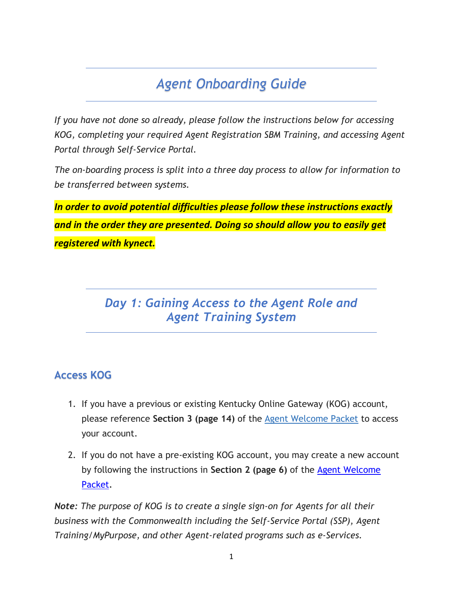# *Agent Onboarding Guide*

*If you have not done so already, please follow the instructions below for accessing KOG, completing your required Agent Registration SBM Training, and accessing Agent Portal through Self-Service Portal.* 

*The on-boarding process is split into a three day process to allow for information to be transferred between systems.* 

*In order to avoid potential difficulties please follow these instructions exactly and in the order they are presented. Doing so should allow you to easily get registered with kynect.* 

### *Day 1: Gaining Access to the Agent Role and Agent Training System*

### **Access KOG**

- 1. If you have a previous or existing Kentucky Online Gateway (KOG) account, please reference **Section 3 (page 14)** of the [Agent Welcome Packet](https://khbe.ky.gov/Agents-kynectors/Documents/AgentWelcomeLetterPY22.pdf) to access your account.
- 2. If you do not have a pre-existing KOG account, you may create a new account by following the instructions in **Section 2 (page 6)** of the [Agent Welcome](https://khbe.ky.gov/Agents-kynectors/Documents/AgentWelcomeLetterPY22.pdf)  [Packet.](https://khbe.ky.gov/Agents-kynectors/Documents/AgentWelcomeLetterPY22.pdf)

*Note: The purpose of KOG is to create a single sign-on for Agents for all their business with the Commonwealth including the Self-Service Portal (SSP), Agent Training/MyPurpose, and other Agent-related programs such as e-Services.*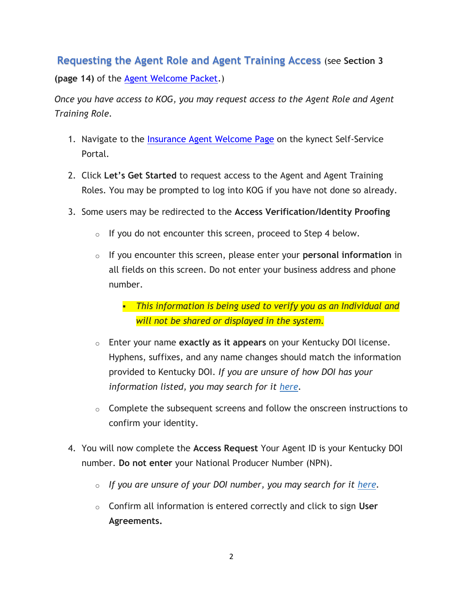### **Requesting the Agent Role and Agent Training Access** (see **Section 3**

**(page 14)** of the [Agent Welcome Packet.](https://khbe.ky.gov/Agents-kynectors/Documents/AgentWelcomeLetterPY22.pdf))

*Once you have access to KOG, you may request access to the Agent Role and Agent Training Role.*

- 1. Navigate to the [Insurance Agent Welcome Page](https://kynect.ky.gov/healthcoverage/s/agents?language=en_US) on the kynect Self-Service Portal.
- 2. Click **Let's Get Started** to request access to the Agent and Agent Training Roles. You may be prompted to log into KOG if you have not done so already.
- 3. Some users may be redirected to the **Access Verification/Identity Proofing**
	- $\circ$  If you do not encounter this screen, proceed to Step 4 below.
	- o If you encounter this screen, please enter your **personal information** in all fields on this screen. Do not enter your business address and phone number.
		- *This information is being used to verify you as an Individual and will not be shared or displayed in the system.*
	- o Enter your name **exactly as it appears** on your Kentucky DOI license. Hyphens, suffixes, and any name changes should match the information provided to Kentucky DOI. *If you are unsure of how DOI has your information listed, you may search for it [here.](https://insurance.ky.gov/ppc/Agent/Default.aspx)*
	- $\circ$  Complete the subsequent screens and follow the onscreen instructions to confirm your identity.
- 4. You will now complete the **Access Request** Your Agent ID is your Kentucky DOI number. **Do not enter** your National Producer Number (NPN).
	- o *If you are unsure of your DOI number, you may search for it [here.](https://insurance.ky.gov/ppc/Agent/Default.aspx)*
	- o Confirm all information is entered correctly and click to sign **User Agreements.**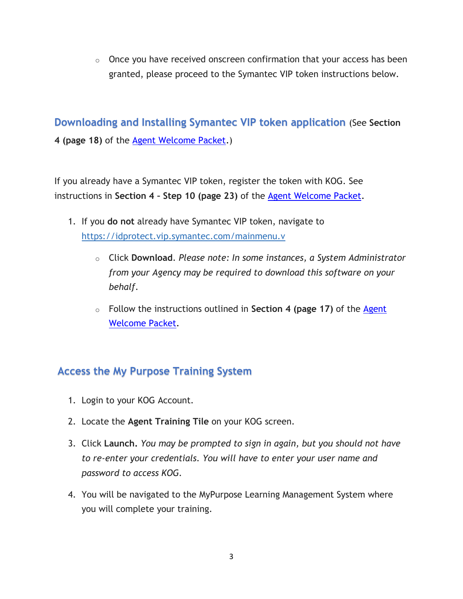$\circ$  Once you have received onscreen confirmation that your access has been granted, please proceed to the Symantec VIP token instructions below.

**Downloading and Installing Symantec VIP token application** (See **Section 4 (page 18)** of the [Agent Welcome Packet.](https://khbe.ky.gov/Agents-kynectors/Documents/AgentWelcomeLetterPY22.pdf))

If you already have a Symantec VIP token, register the token with KOG. See instructions in **Section 4 – Step 10 (page 23)** of the [Agent Welcome Packet.](https://khbe.ky.gov/Agents-kynectors/Documents/AgentWelcomeLetterPY22.pdf)

- 1. If you **do not** already have Symantec VIP token, navigate to [https://idprotect.vip.symantec.com/mainmenu.v](https://urldefense.com/v3/__https:/idprotect.vip.symantec.com/mainmenu.v__;!!Db6frn15oIvDD3UI!1IZFIzhkpF0ZHpR3MRIzbcMH4sz6wJh6pBArzHvZJ9Fi_iYgMwYbFKI9Hgodg0ifyg$)
	- o Click **Download**. *Please note: In some instances, a System Administrator from your Agency may be required to download this software on your behalf*.
	- o Follow the instructions outlined in **Section 4 (page 17)** of the [Agent](https://khbe.ky.gov/Agents-kynectors/Documents/AgentWelcomeLetterPY22.pdf)  [Welcome Packet.](https://khbe.ky.gov/Agents-kynectors/Documents/AgentWelcomeLetterPY22.pdf)

### **Access the My Purpose Training System**

- 1. Login to your KOG Account.
- 2. Locate the **Agent Training Tile** on your KOG screen.
- 3. Click **Launch.** *You may be prompted to sign in again, but you should not have to re-enter your credentials. You will have to enter your user name and password to access KOG.*
- 4. You will be navigated to the MyPurpose Learning Management System where you will complete your training.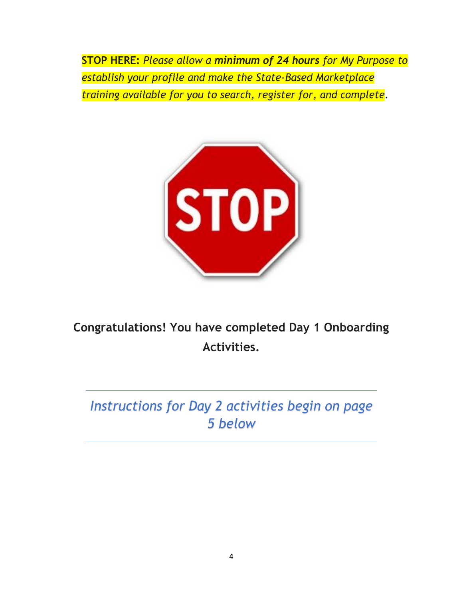**STOP HERE:** *Please allow a minimum of 24 hours for My Purpose to establish your profile and make the State-Based Marketplace training available for you to search, register for, and complete.* 



## **Congratulations! You have completed Day 1 Onboarding Activities.**

# *Instructions for Day 2 activities begin on page 5 below*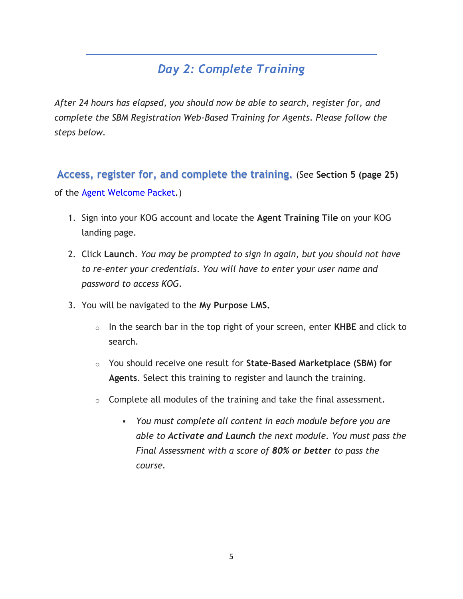## *Day 2: Complete Training*

*After 24 hours has elapsed, you should now be able to search, register for, and complete the SBM Registration Web-Based Training for Agents. Please follow the steps below.*

**Access, register for, and complete the training.** (See **Section 5 (page 25)** of the [Agent Welcome Packet.](https://khbe.ky.gov/Agents-kynectors/Documents/AgentWelcomeLetterPY22.pdf))

- 1. Sign into your KOG account and locate the **Agent Training Tile** on your KOG landing page.
- 2. Click **Launch**. *You may be prompted to sign in again, but you should not have to re-enter your credentials*. *You will have to enter your user name and password to access KOG.*
- 3. You will be navigated to the **My Purpose LMS.** 
	- o In the search bar in the top right of your screen, enter **KHBE** and click to search.
	- o You should receive one result for **State-Based Marketplace (SBM) for Agents**. Select this training to register and launch the training.
	- $\circ$  Complete all modules of the training and take the final assessment.
		- *You must complete all content in each module before you are able to Activate and Launch the next module. You must pass the Final Assessment with a score of 80% or better to pass the course.*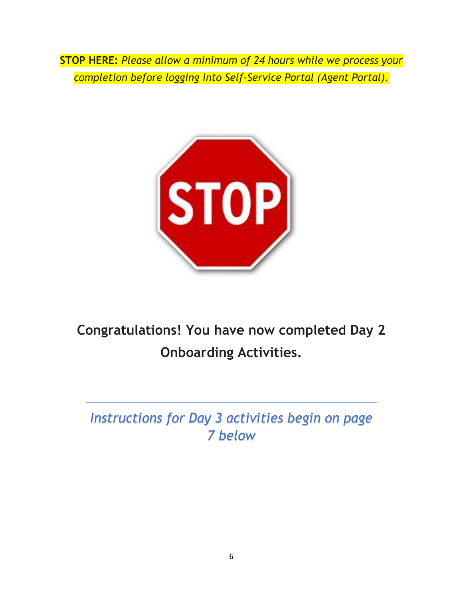**STOP HERE:** *Please allow a minimum of 24 hours while we process your completion before logging into Self-Service Portal (Agent Portal).*



**Congratulations! You have now completed Day 2 Onboarding Activities.**

*Instructions for Day 3 activities begin on page 7 below*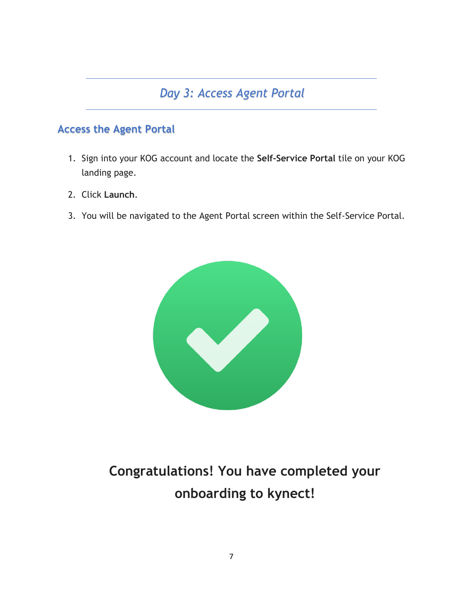## *Day 3: Access Agent Portal*

### **Access the Agent Portal**

- 1. Sign into your KOG account and locate the **Self-Service Portal** tile on your KOG landing page.
- 2. Click **Launch**.
- 3. You will be navigated to the Agent Portal screen within the Self-Service Portal.



# **Congratulations! You have completed your onboarding to kynect!**